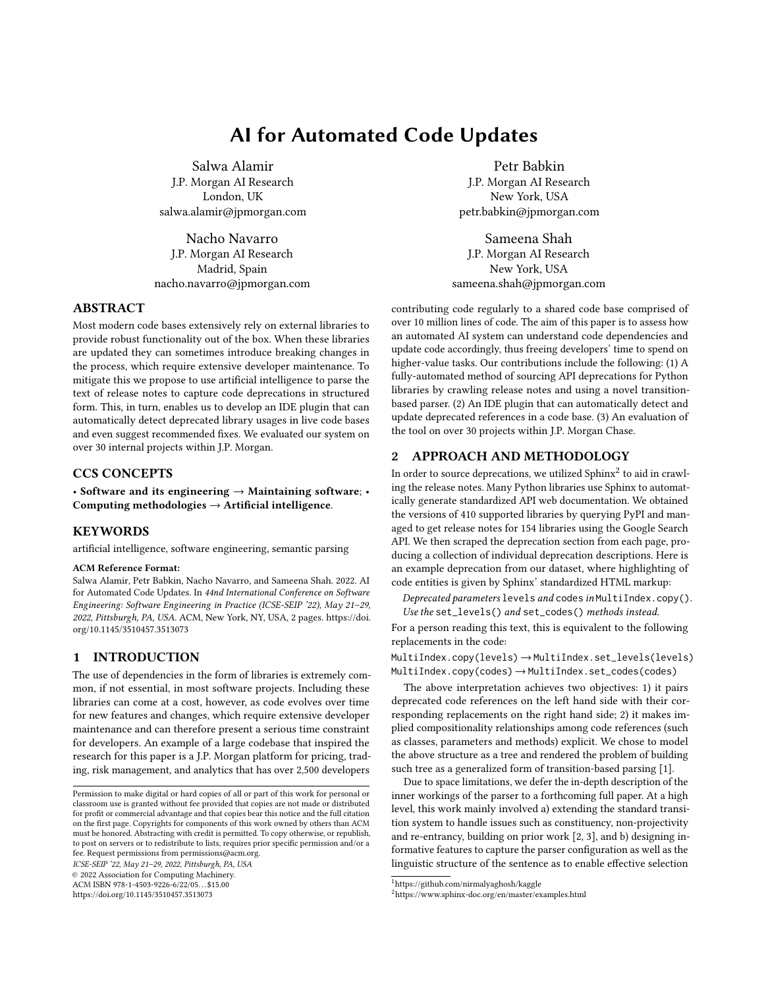# **AI for Automated Code Updates**

Salwa Alamir J.P. Morgan AI Research London, UK salwa.alamir@jpmorgan.com

Nacho Navarro J.P. Morgan AI Research Madrid, Spain nacho.navarro@jpmorgan.com

# **ABSTRACT**

Most modern code bases extensively rely on external libraries to provide robust functionality out of the box. When these libraries are updated they can sometimes introduce breaking changes in the process, which require extensive developer maintenance. To mitigate this we propose to use artificial intelligence to parse the text of release notes to capture code deprecations in structured form. This, in turn, enables us to develop an IDE plugin that can automatically detect deprecated library usages in live code bases and even suggest recommended fixes. We evaluated our system on over 30 internal projects within J.P. Morgan.

#### **CCS CONCEPTS**

• **Software and its engineering** → **Maintaining software**; • **Computing methodologies** → **Artificial intelligence**.

### **KEYWORDS**

artificial intelligence, software engineering, semantic parsing

#### **ACM Reference Format:**

Salwa Alamir, Petr Babkin, Nacho Navarro, and Sameena Shah. 2022. AI for Automated Code Updates. In *44nd International Conference on Software Engineering: Software Engineering in Practice (ICSE-SEIP '22), May 21–29, 2022, Pittsburgh, PA, USA.* ACM, New York, NY, USA, 2 pages. https://doi. org/10.1145/3510457.3513073

# **1 INTRODUCTION**

The use of dependencies in the form of libraries is extremely common, if not essential, in most software projects. Including these libraries can come at a cost, however, as code evolves over time for new features and changes, which require extensive developer maintenance and can therefore present a serious time constraint for developers. An example of a large codebase that inspired the research for this paper is a J.P. Morgan platform for pricing, trading, risk management, and analytics that has over 2,500 developers

*ICSE-SEIP '22, May 21–29, 2022, Pittsburgh, PA, USA*

© 2022 Association for Computing Machinery.

ACM ISBN 978-1-4503-9226-6/22/05. . . \$15.00

https://doi.org/10.1145/3510457.3513073

Petr Babkin J.P. Morgan AI Research New York, USA petr.babkin@jpmorgan.com

Sameena Shah J.P. Morgan AI Research New York, USA sameena.shah@jpmorgan.com

contributing code regularly to a shared code base comprised of over 10 million lines of code. The aim of this paper is to assess how an automated AI system can understand code dependencies and update code accordingly, thus freeing developers' time to spend on higher-value tasks. Our contributions include the following: (1) A fully-automated method of sourcing API deprecations for Python libraries by crawling release notes and using a novel transitionbased parser. (2) An IDE plugin that can automatically detect and update deprecated references in a code base. (3) An evaluation of the tool on over 30 projects within J.P. Morgan Chase.

## **2 APPROACH AND METHODOLOGY**

In order to source deprecations, we utilized Sphinx<sup>2</sup> to aid in crawling the release notes. Many Python libraries use Sphinx to automatically generate standardized API web documentation. We obtained the versions of 410 supported libraries by querying PyPI and managed to get release notes for 154 libraries using the Google Search API. We then scraped the deprecation section from each page, producing a collection of individual deprecation descriptions. Here is an example deprecation from our dataset, where highlighting of code entities is given by Sphinx' standardized HTML markup:

*Deprecated parameters* levels *and* codes *in* MultiIndex.copy()*. Use the* set\_levels() *and* set\_codes() *methods instead.*

For a person reading this text, this is equivalent to the following replacements in the code:

MultiIndex.copy(levels)→MultiIndex.set\_levels(levels) MultiIndex.copy(codes)→MultiIndex.set\_codes(codes)

The above interpretation achieves two objectives: 1) it pairs deprecated code references on the left hand side with their corresponding replacements on the right hand side; 2) it makes implied compositionality relationships among code references (such as classes, parameters and methods) explicit. We chose to model the above structure as a tree and rendered the problem of building such tree as a generalized form of transition-based parsing [1].

Due to space limitations, we defer the in-depth description of the inner workings of the parser to a forthcoming full paper. At a high level, this work mainly involved a) extending the standard transition system to handle issues such as constituency, non-projectivity and re-entrancy, building on prior work [2, 3], and b) designing informative features to capture the parser configuration as well as the linguistic structure of the sentence as to enable effective selection

Permission to make digital or hard copies of all or part of this work for personal or classroom use is granted without fee provided that copies are not made or distributed for profit or commercial advantage and that copies bear this notice and the full citation on the first page. Copyrights for components of this work owned by others than ACM must be honored. Abstracting with credit is permitted. To copy otherwise, or republish, to post on servers or to redistribute to lists, requires prior specific permission and/or a fee. Request permissions from permissions@acm.org.

<sup>1</sup>https://github.com/nirmalyaghosh/kaggle

<sup>2</sup>https://www.sphinx-doc.org/en/master/examples.html